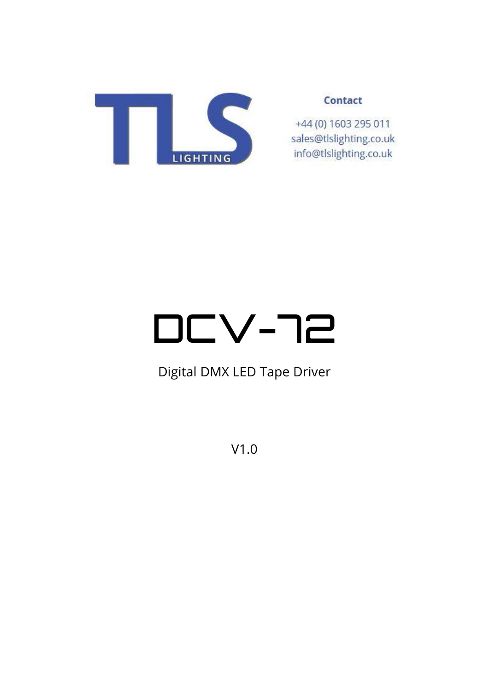

# Contact

+44 (0) 1603 295 011 sales@tlslighting.co.uk info@tlslighting.co.uk

# DCV-72

# Digital DMX LED Tape Driver

V1.0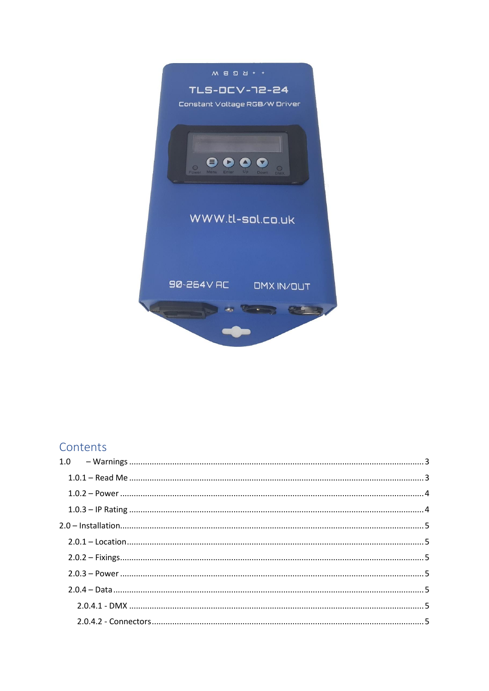

# Contents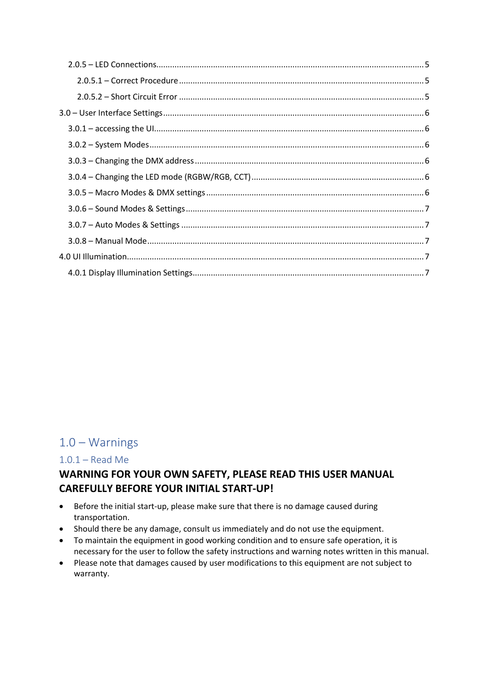# <span id="page-2-0"></span> $1.0 - Warnings$

## <span id="page-2-1"></span> $1.0.1 - Read$  Me

# WARNING FOR YOUR OWN SAFETY, PLEASE READ THIS USER MANUAL **CAREFULLY BEFORE YOUR INITIAL START-UP!**

- Before the initial start-up, please make sure that there is no damage caused during transportation.
- Should there be any damage, consult us immediately and do not use the equipment.
- To maintain the equipment in good working condition and to ensure safe operation, it is necessary for the user to follow the safety instructions and warning notes written in this manual.
- Please note that damages caused by user modifications to this equipment are not subject to warranty.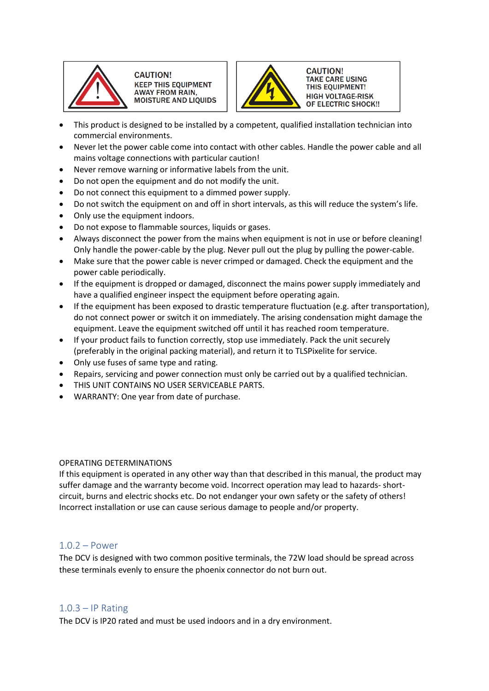

**CAUTION! KEEP THIS EQUIPMENT AWAY FROM RAIN, MOISTURE AND LIQUIDS** 



**CAUTION! TAKE CARE USING THIS EQUIPMENT! HIGH VOLTAGE-RISK** OF ELECTRIC SHOCK !!

- This product is designed to be installed by a competent, qualified installation technician into commercial environments.
- Never let the power cable come into contact with other cables. Handle the power cable and all mains voltage connections with particular caution!
- Never remove warning or informative labels from the unit.
- Do not open the equipment and do not modify the unit.
- Do not connect this equipment to a dimmed power supply.
- Do not switch the equipment on and off in short intervals, as this will reduce the system's life.
- Only use the equipment indoors.
- Do not expose to flammable sources, liquids or gases.
- Always disconnect the power from the mains when equipment is not in use or before cleaning! Only handle the power-cable by the plug. Never pull out the plug by pulling the power-cable.
- Make sure that the power cable is never crimped or damaged. Check the equipment and the power cable periodically.
- If the equipment is dropped or damaged, disconnect the mains power supply immediately and have a qualified engineer inspect the equipment before operating again.
- If the equipment has been exposed to drastic temperature fluctuation (e.g. after transportation), do not connect power or switch it on immediately. The arising condensation might damage the equipment. Leave the equipment switched off until it has reached room temperature.
- If your product fails to function correctly, stop use immediately. Pack the unit securely (preferably in the original packing material), and return it to TLSPixelite for service.
- Only use fuses of same type and rating.
- Repairs, servicing and power connection must only be carried out by a qualified technician.
- THIS UNIT CONTAINS NO USER SERVICEABLE PARTS.
- WARRANTY: One year from date of purchase.

#### OPERATING DETERMINATIONS

If this equipment is operated in any other way than that described in this manual, the product may suffer damage and the warranty become void. Incorrect operation may lead to hazards- shortcircuit, burns and electric shocks etc. Do not endanger your own safety or the safety of others! Incorrect installation or use can cause serious damage to people and/or property.

## <span id="page-3-0"></span>1.0.2 – Power

The DCV is designed with two common positive terminals, the 72W load should be spread across these terminals evenly to ensure the phoenix connector do not burn out.

# <span id="page-3-1"></span> $1.0.3 - IP$  Rating

The DCV is IP20 rated and must be used indoors and in a dry environment.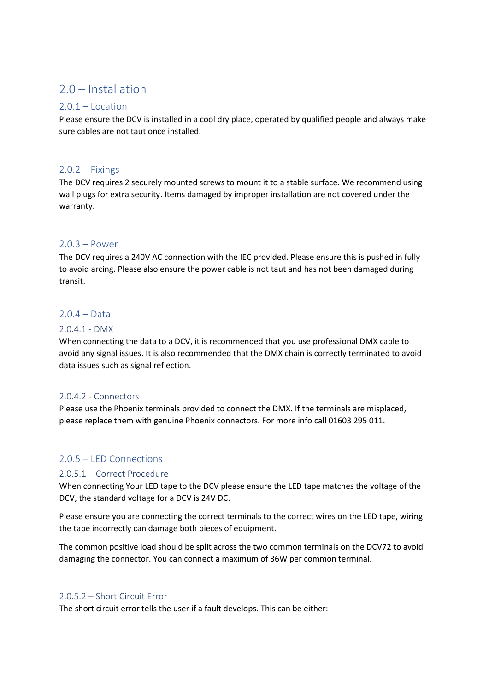# <span id="page-4-0"></span>2.0 – Installation

## <span id="page-4-1"></span> $2.0.1 -$ Location

Please ensure the DCV is installed in a cool dry place, operated by qualified people and always make sure cables are not taut once installed.

## <span id="page-4-2"></span> $2.0.2 - Fixings$

The DCV requires 2 securely mounted screws to mount it to a stable surface. We recommend using wall plugs for extra security. Items damaged by improper installation are not covered under the warranty.

## <span id="page-4-3"></span>2.0.3 – Power

The DCV requires a 240V AC connection with the IEC provided. Please ensure this is pushed in fully to avoid arcing. Please also ensure the power cable is not taut and has not been damaged during transit.

# <span id="page-4-4"></span>2.0.4 – Data

## <span id="page-4-5"></span>2.0.4.1 - DMX

When connecting the data to a DCV, it is recommended that you use professional DMX cable to avoid any signal issues. It is also recommended that the DMX chain is correctly terminated to avoid data issues such as signal reflection.

## <span id="page-4-6"></span>2.0.4.2 - Connectors

Please use the Phoenix terminals provided to connect the DMX. If the terminals are misplaced, please replace them with genuine Phoenix connectors. For more info call 01603 295 011.

# <span id="page-4-7"></span>2.0.5 – LED Connections

## <span id="page-4-8"></span>2.0.5.1 – Correct Procedure

When connecting Your LED tape to the DCV please ensure the LED tape matches the voltage of the DCV, the standard voltage for a DCV is 24V DC.

Please ensure you are connecting the correct terminals to the correct wires on the LED tape, wiring the tape incorrectly can damage both pieces of equipment.

The common positive load should be split across the two common terminals on the DCV72 to avoid damaging the connector. You can connect a maximum of 36W per common terminal.

## <span id="page-4-9"></span>2.0.5.2 – Short Circuit Error

The short circuit error tells the user if a fault develops. This can be either: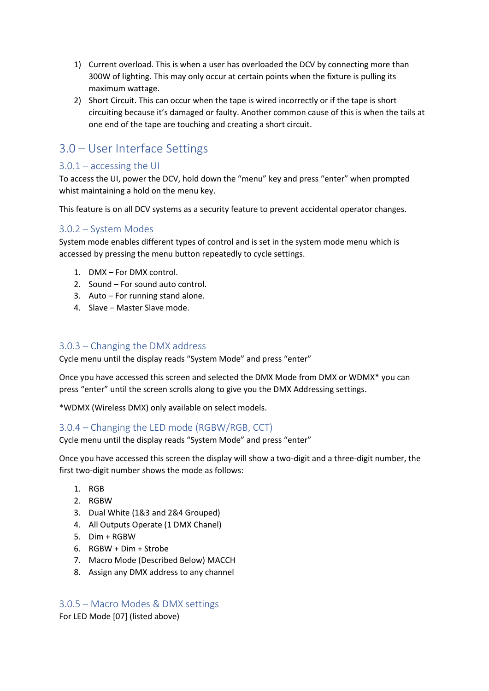- 1) Current overload. This is when a user has overloaded the DCV by connecting more than 300W of lighting. This may only occur at certain points when the fixture is pulling its maximum wattage.
- 2) Short Circuit. This can occur when the tape is wired incorrectly or if the tape is short circuiting because it's damaged or faulty. Another common cause of this is when the tails at one end of the tape are touching and creating a short circuit.

# <span id="page-5-0"></span>3.0 – User Interface Settings

# <span id="page-5-1"></span> $3.0.1 -$  accessing the UI

To access the UI, power the DCV, hold down the "menu" key and press "enter" when prompted whist maintaining a hold on the menu key.

This feature is on all DCV systems as a security feature to prevent accidental operator changes.

# <span id="page-5-2"></span>3.0.2 – System Modes

System mode enables different types of control and is set in the system mode menu which is accessed by pressing the menu button repeatedly to cycle settings.

- 1. DMX For DMX control.
- 2. Sound For sound auto control.
- 3. Auto For running stand alone.
- 4. Slave Master Slave mode.

# <span id="page-5-3"></span>3.0.3 – Changing the DMX address

Cycle menu until the display reads "System Mode" and press "enter"

Once you have accessed this screen and selected the DMX Mode from DMX or WDMX\* you can press "enter" until the screen scrolls along to give you the DMX Addressing settings.

\*WDMX (Wireless DMX) only available on select models.

# <span id="page-5-4"></span>3.0.4 – Changing the LED mode (RGBW/RGB, CCT)

Cycle menu until the display reads "System Mode" and press "enter"

Once you have accessed this screen the display will show a two-digit and a three-digit number, the first two-digit number shows the mode as follows:

- 1. RGB
- 2. RGBW
- 3. Dual White (1&3 and 2&4 Grouped)
- 4. All Outputs Operate (1 DMX Chanel)
- 5. Dim + RGBW
- 6. RGBW + Dim + Strobe
- 7. Macro Mode (Described Below) MACCH
- 8. Assign any DMX address to any channel

# <span id="page-5-5"></span>3.0.5 – Macro Modes & DMX settings

For LED Mode [07] (listed above)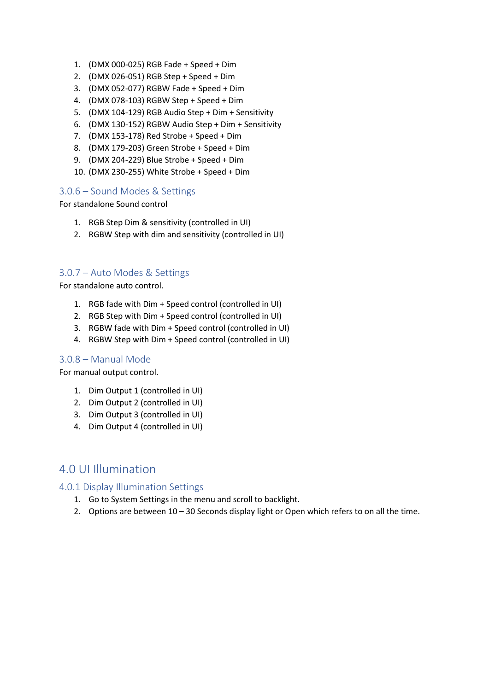- 1. (DMX 000-025) RGB Fade + Speed + Dim
- 2. (DMX 026-051) RGB Step + Speed + Dim
- 3. (DMX 052-077) RGBW Fade + Speed + Dim
- 4. (DMX 078-103) RGBW Step + Speed + Dim
- 5. (DMX 104-129) RGB Audio Step + Dim + Sensitivity
- 6. (DMX 130-152) RGBW Audio Step + Dim + Sensitivity
- 7. (DMX 153-178) Red Strobe + Speed + Dim
- 8. (DMX 179-203) Green Strobe + Speed + Dim
- 9. (DMX 204-229) Blue Strobe + Speed + Dim
- 10. (DMX 230-255) White Strobe + Speed + Dim

## <span id="page-6-0"></span>3.0.6 – Sound Modes & Settings

For standalone Sound control

- 1. RGB Step Dim & sensitivity (controlled in UI)
- 2. RGBW Step with dim and sensitivity (controlled in UI)

## <span id="page-6-1"></span>3.0.7 – Auto Modes & Settings

For standalone auto control.

- 1. RGB fade with Dim + Speed control (controlled in UI)
- 2. RGB Step with Dim + Speed control (controlled in UI)
- 3. RGBW fade with Dim + Speed control (controlled in UI)
- 4. RGBW Step with Dim + Speed control (controlled in UI)

## <span id="page-6-2"></span>3.0.8 – Manual Mode

For manual output control.

- 1. Dim Output 1 (controlled in UI)
- 2. Dim Output 2 (controlled in UI)
- 3. Dim Output 3 (controlled in UI)
- 4. Dim Output 4 (controlled in UI)

# <span id="page-6-3"></span>4.0 UI Illumination

## <span id="page-6-4"></span>4.0.1 Display Illumination Settings

- 1. Go to System Settings in the menu and scroll to backlight.
- 2. Options are between 10 30 Seconds display light or Open which refers to on all the time.